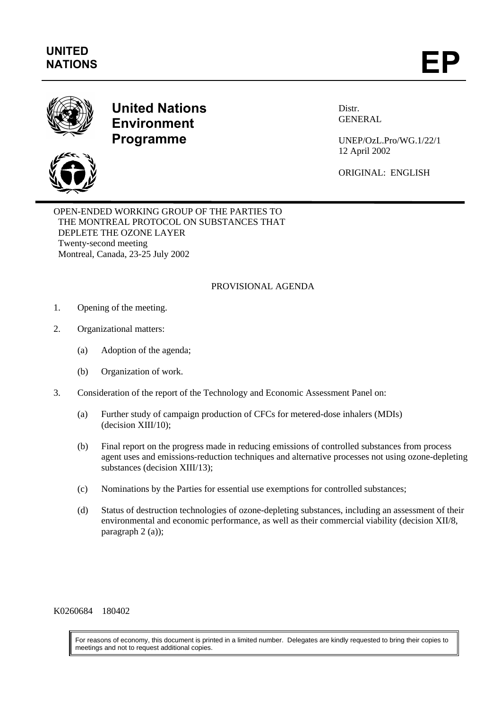

## **United Nations Environment Programme**

Distr. GENERAL

UNEP/OzL.Pro/WG.1/22/1 12 April 2002

ORIGINAL: ENGLISH

OPEN-ENDED WORKING GROUP OF THE PARTIES TO THE MONTREAL PROTOCOL ON SUBSTANCES THAT DEPLETE THE OZONE LAYER Twenty-second meeting Montreal, Canada, 23-25 July 2002

## PROVISIONAL AGENDA

- 1. Opening of the meeting.
- 2. Organizational matters:
	- (a) Adoption of the agenda;
	- (b) Organization of work.
- 3. Consideration of the report of the Technology and Economic Assessment Panel on:
	- (a) Further study of campaign production of CFCs for metered-dose inhalers (MDIs) (decision XIII/10);
	- (b) Final report on the progress made in reducing emissions of controlled substances from process agent uses and emissions-reduction techniques and alternative processes not using ozone-depleting substances (decision XIII/13);
	- (c) Nominations by the Parties for essential use exemptions for controlled substances;
	- (d) Status of destruction technologies of ozone-depleting substances, including an assessment of their environmental and economic performance, as well as their commercial viability (decision XII/8, paragraph 2 (a));

K0260684 180402

For reasons of economy, this document is printed in a limited number. Delegates are kindly requested to bring their copies to meetings and not to request additional copies.